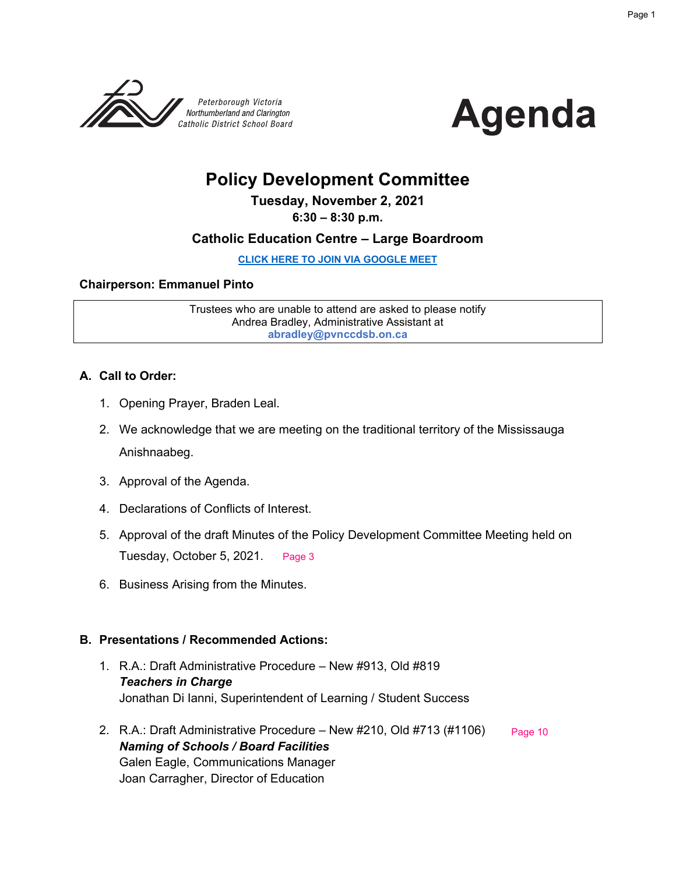



## **Policy Development Committee**

**Tuesday, November 2, 2021**

**6:30 – 8:30 p.m.**

#### **Catholic Education Centre – Large Boardroom**

**[CLICK HERE TO JOIN VIA GOOGLE MEET](meet.google.com/rrb-jyki-rnz)**

#### **Chairperson: Emmanuel Pinto**

Trustees who are unable to attend are asked to please notify Andrea Bradley, Administrative Assistant at **abradley@pvnccdsb.on.ca**

#### **A. Call to Order:**

- 1. Opening Prayer, Braden Leal.
- 2. We acknowledge that we are meeting on the traditional territory of the Mississauga Anishnaabeg.
- 3. Approval of the Agenda.
- 4. Declarations of Conflicts of Interest.
- 5. Approval of the draft Minutes of the Policy Development Committee Meeting held on Tuesday, October 5, 2021. [Page 3](#page-2-0)
- 6. Business Arising from the Minutes.

#### **B. Presentations / Recommended Actions:**

- 1. R.A.: Draft Administrative Procedure New #913, Old #819 *Teachers in Charge* Jonathan Di Ianni, Superintendent of Learning / Student Success
- 2. R.A.: Draft Administrative Procedure New #210, Old #713 (#1106) *Naming of Schools / Board Facilities* Galen Eagle, Communications Manager Joan Carragher, Director of Education [Page 10](#page-9-0)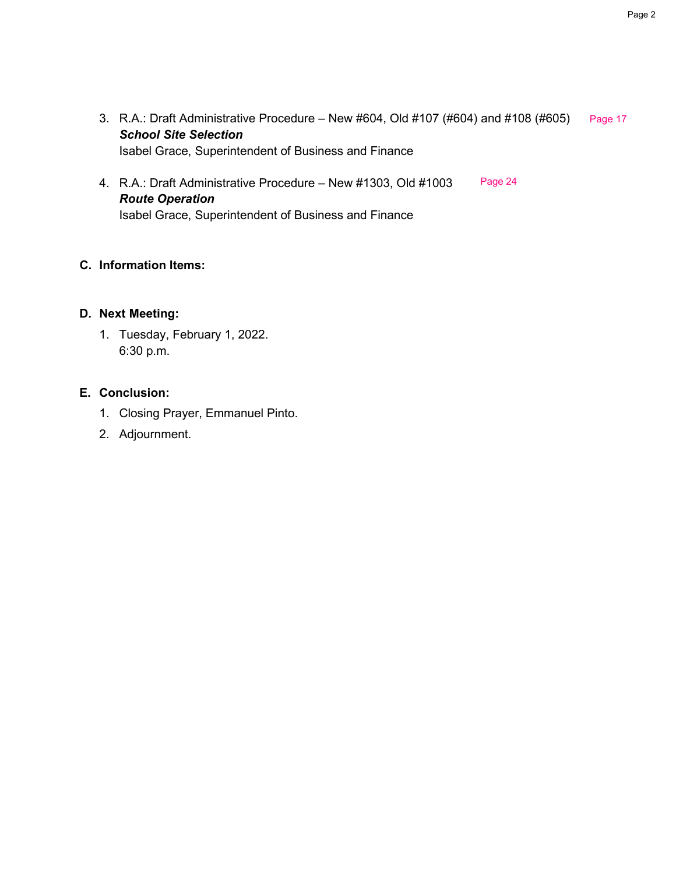- 3. R.A.: Draft Administrative Procedure New #604, Old #107 (#604) and #108 (#605) [Page 17](#page-16-0) *School Site Selection* Isabel Grace, Superintendent of Business and Finance
- 4. R.A.: Draft Administrative Procedure New #1303, Old #1003 *Route Operation* Isabel Grace, Superintendent of Business and Finance [Page 24](#page-23-0)

#### **C. Information Items:**

#### **D. Next Meeting:**

1. Tuesday, February 1, 2022. 6:30 p.m.

#### **E. Conclusion:**

- 1. Closing Prayer, Emmanuel Pinto.
- 2. Adjournment.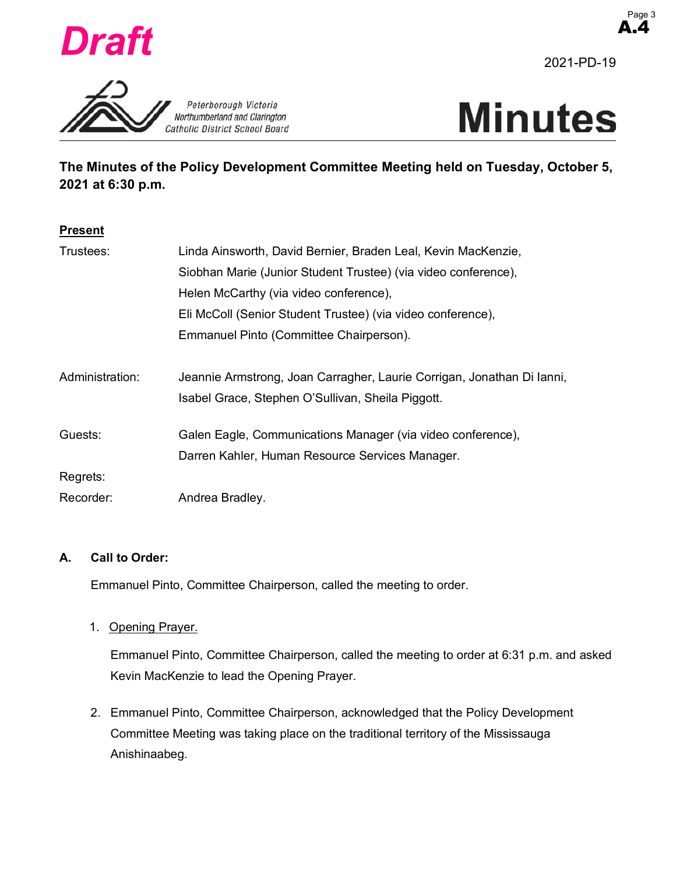<span id="page-2-0"></span>





**The Minutes of the Policy Development Committee Meeting held on Tuesday, October 5, 2021 at 6:30 p.m.**

#### **Present**

| Trustees:       | Linda Ainsworth, David Bernier, Braden Leal, Kevin MacKenzie,          |
|-----------------|------------------------------------------------------------------------|
|                 | Siobhan Marie (Junior Student Trustee) (via video conference),         |
|                 | Helen McCarthy (via video conference),                                 |
|                 | Eli McColl (Senior Student Trustee) (via video conference),            |
|                 | Emmanuel Pinto (Committee Chairperson).                                |
| Administration: | Jeannie Armstrong, Joan Carragher, Laurie Corrigan, Jonathan Di lanni, |
|                 | Isabel Grace, Stephen O'Sullivan, Sheila Piggott.                      |
| Guests:         | Galen Eagle, Communications Manager (via video conference),            |
|                 | Darren Kahler, Human Resource Services Manager.                        |
| Regrets:        |                                                                        |
| Recorder:       | Andrea Bradley.                                                        |

#### **A. Call to Order:**

Emmanuel Pinto, Committee Chairperson, called the meeting to order.

1. Opening Prayer.

Emmanuel Pinto, Committee Chairperson, called the meeting to order at 6:31 p.m. and asked Kevin MacKenzie to lead the Opening Prayer.

2. Emmanuel Pinto, Committee Chairperson, acknowledged that the Policy Development Committee Meeting was taking place on the traditional territory of the Mississauga Anishinaabeg.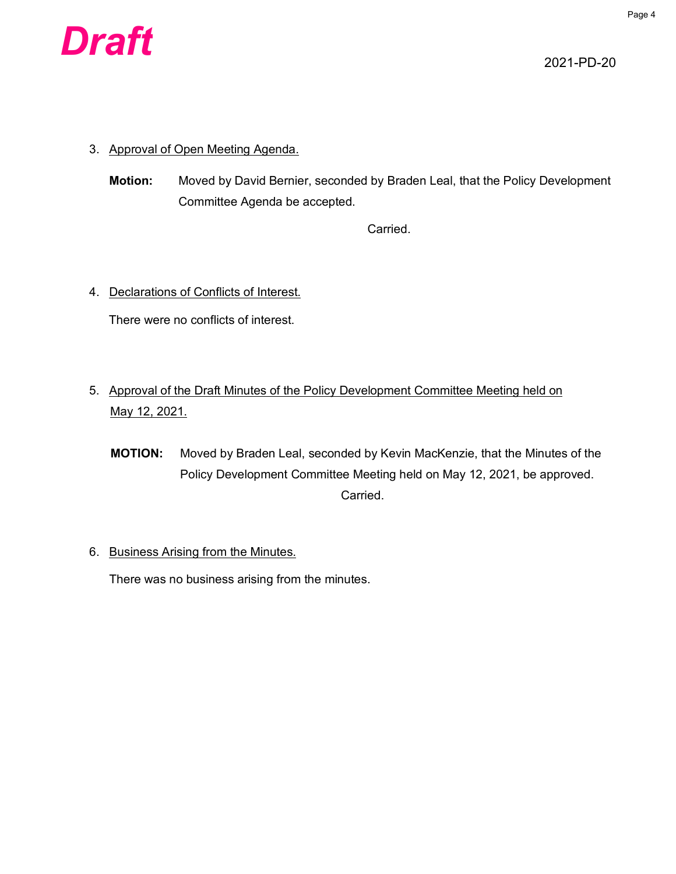

- 3. Approval of Open Meeting Agenda.
	- **Motion:** Moved by David Bernier, seconded by Braden Leal, that the Policy Development Committee Agenda be accepted.

Carried.

4. Declarations of Conflicts of Interest.

There were no conflicts of interest.

- 5. Approval of the Draft Minutes of the Policy Development Committee Meeting held on May 12, 2021.
	- **MOTION:** Moved by Braden Leal, seconded by Kevin MacKenzie, that the Minutes of the Policy Development Committee Meeting held on May 12, 2021, be approved. Carried.
- 6. Business Arising from the Minutes.

There was no business arising from the minutes.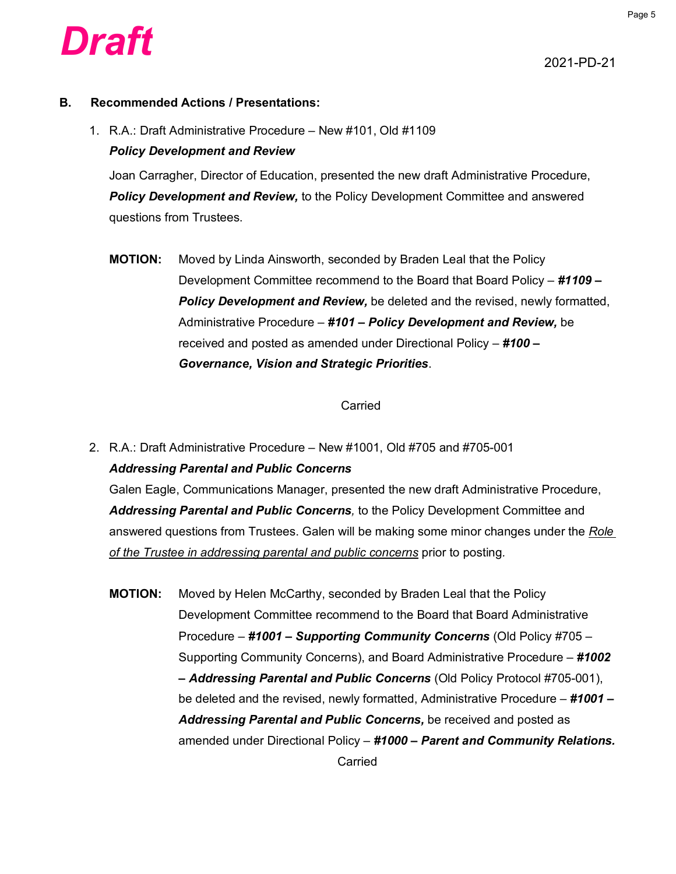

#### **B. Recommended Actions / Presentations:**

1. R.A.: Draft Administrative Procedure – New #101, Old #1109 *Policy Development and Review*

Joan Carragher, Director of Education, presented the new draft Administrative Procedure, *Policy Development and Review,* to the Policy Development Committee and answered questions from Trustees.

**MOTION:** Moved by Linda Ainsworth, seconded by Braden Leal that the Policy Development Committee recommend to the Board that Board Policy – *#1109 – Policy Development and Review,* be deleted and the revised, newly formatted, Administrative Procedure – *#101 – Policy Development and Review,* be received and posted as amended under Directional Policy – *#100 – Governance, Vision and Strategic Priorities*.

#### Carried

2. R.A.: Draft Administrative Procedure – New #1001, Old #705 and #705-001 *Addressing Parental and Public Concerns*

Galen Eagle, Communications Manager, presented the new draft Administrative Procedure, *Addressing Parental and Public Concerns,* to the Policy Development Committee and answered questions from Trustees. Galen will be making some minor changes under the *Role of the Trustee in addressing parental and public concerns* prior to posting*.*

**MOTION:** Moved by Helen McCarthy, seconded by Braden Leal that the Policy Development Committee recommend to the Board that Board Administrative Procedure – *#1001 – Supporting Community Concerns* (Old Policy #705 – Supporting Community Concerns), and Board Administrative Procedure – *#1002 – Addressing Parental and Public Concerns* (Old Policy Protocol #705-001), be deleted and the revised, newly formatted, Administrative Procedure – *#1001 – Addressing Parental and Public Concerns,* be received and posted as amended under Directional Policy – *#1000 – Parent and Community Relations.* Carried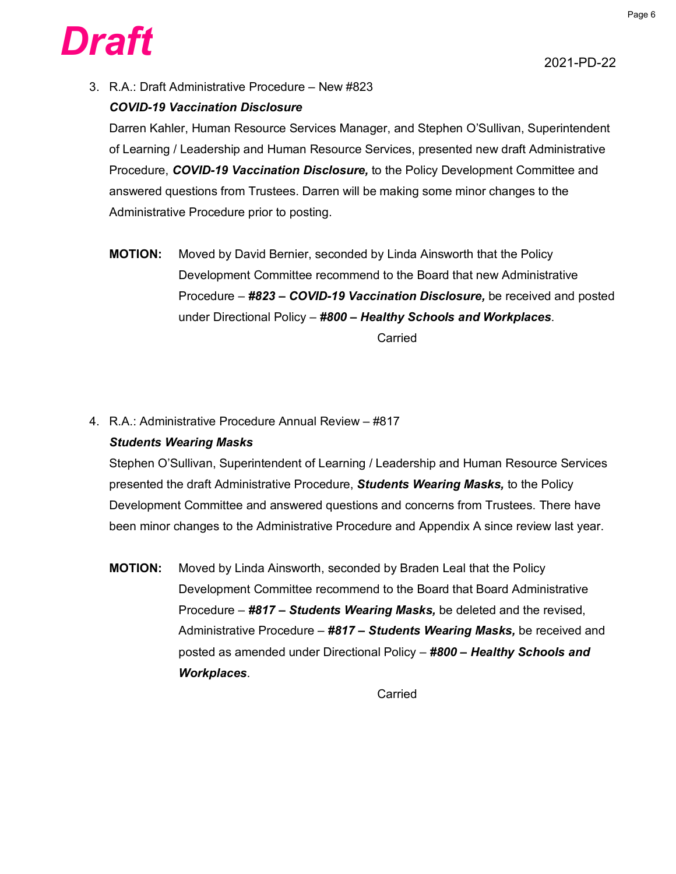

3. R.A.: Draft Administrative Procedure – New #823

#### *COVID-19 Vaccination Disclosure*

Darren Kahler, Human Resource Services Manager, and Stephen O'Sullivan, Superintendent of Learning / Leadership and Human Resource Services, presented new draft Administrative Procedure, *COVID-19 Vaccination Disclosure,* to the Policy Development Committee and answered questions from Trustees. Darren will be making some minor changes to the Administrative Procedure prior to posting.

- **MOTION:** Moved by David Bernier, seconded by Linda Ainsworth that the Policy Development Committee recommend to the Board that new Administrative Procedure – *#823 – COVID-19 Vaccination Disclosure,* be received and posted under Directional Policy – *#800 – Healthy Schools and Workplaces*. Carried
- 4. R.A.: Administrative Procedure Annual Review #817 *Students Wearing Masks*

Stephen O'Sullivan, Superintendent of Learning / Leadership and Human Resource Services presented the draft Administrative Procedure, *Students Wearing Masks,* to the Policy Development Committee and answered questions and concerns from Trustees. There have been minor changes to the Administrative Procedure and Appendix A since review last year.

**MOTION:** Moved by Linda Ainsworth, seconded by Braden Leal that the Policy Development Committee recommend to the Board that Board Administrative Procedure – *#817 – Students Wearing Masks,* be deleted and the revised, Administrative Procedure – *#817 – Students Wearing Masks,* be received and posted as amended under Directional Policy – *#800 – Healthy Schools and Workplaces*.

Carried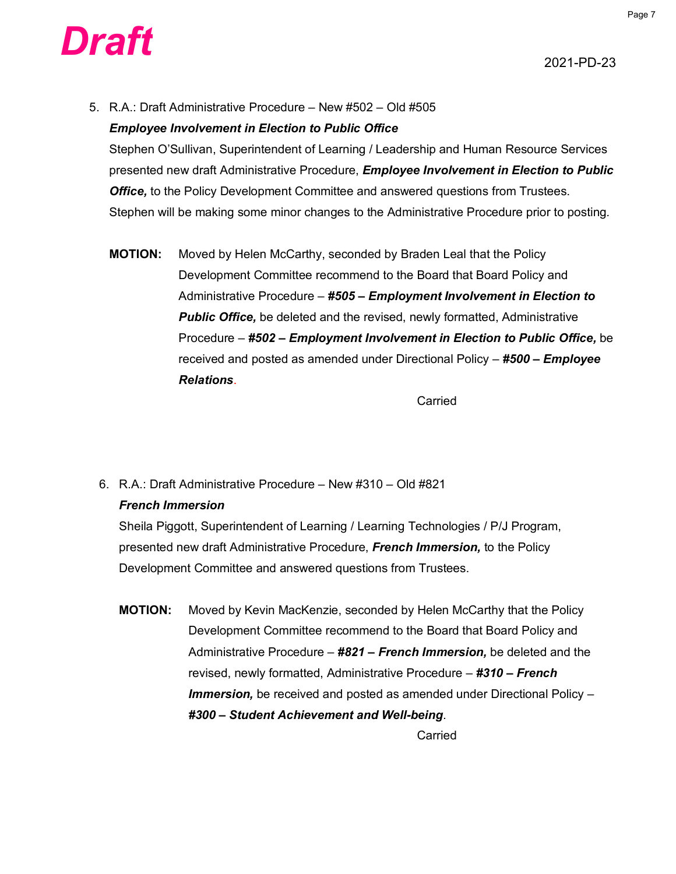

5. R.A.: Draft Administrative Procedure – New #502 – Old #505

#### *Employee Involvement in Election to Public Office*

Stephen O'Sullivan, Superintendent of Learning / Leadership and Human Resource Services presented new draft Administrative Procedure, *Employee Involvement in Election to Public Office,* to the Policy Development Committee and answered questions from Trustees. Stephen will be making some minor changes to the Administrative Procedure prior to posting*.*

**MOTION:** Moved by Helen McCarthy, seconded by Braden Leal that the Policy Development Committee recommend to the Board that Board Policy and Administrative Procedure – *#505 – Employment Involvement in Election to*  **Public Office,** be deleted and the revised, newly formatted, Administrative Procedure – *#502 – Employment Involvement in Election to Public Office,* be received and posted as amended under Directional Policy – *#500 – Employee Relations*.

Carried

#### 6. R.A.: Draft Administrative Procedure – New #310 – Old #821

#### *French Immersion*

Sheila Piggott, Superintendent of Learning / Learning Technologies / P/J Program, presented new draft Administrative Procedure, *French Immersion,* to the Policy Development Committee and answered questions from Trustees.

**MOTION:** Moved by Kevin MacKenzie, seconded by Helen McCarthy that the Policy Development Committee recommend to the Board that Board Policy and Administrative Procedure – *#821 – French Immersion,* be deleted and the revised, newly formatted, Administrative Procedure – *#310 – French Immersion,* be received and posted as amended under Directional Policy – *#300 – Student Achievement and Well-being*.

Carried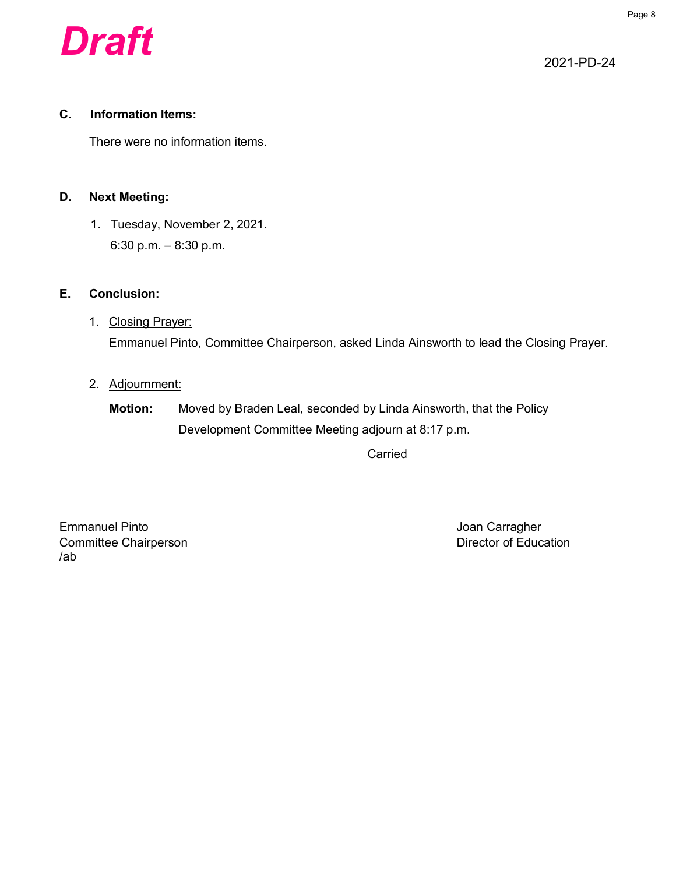

#### **C. Information Items:**

There were no information items.

#### **D. Next Meeting:**

1. Tuesday, November 2, 2021. 6:30 p.m. – 8:30 p.m.

#### **E. Conclusion:**

1. Closing Prayer: Emmanuel Pinto, Committee Chairperson, asked Linda Ainsworth to lead the Closing Prayer.

#### 2. Adjournment:

## **Motion:** Moved by Braden Leal, seconded by Linda Ainsworth, that the Policy Development Committee Meeting adjourn at 8:17 p.m.

Carried

Emmanuel Pinto **Carragher** Controllering Controllering Controllering Controllering Controllering Controllering Controllering Controllering Controllering Controllering Controllering Controllering Controllering Controllering Committee Chairperson **Director of Education** /ab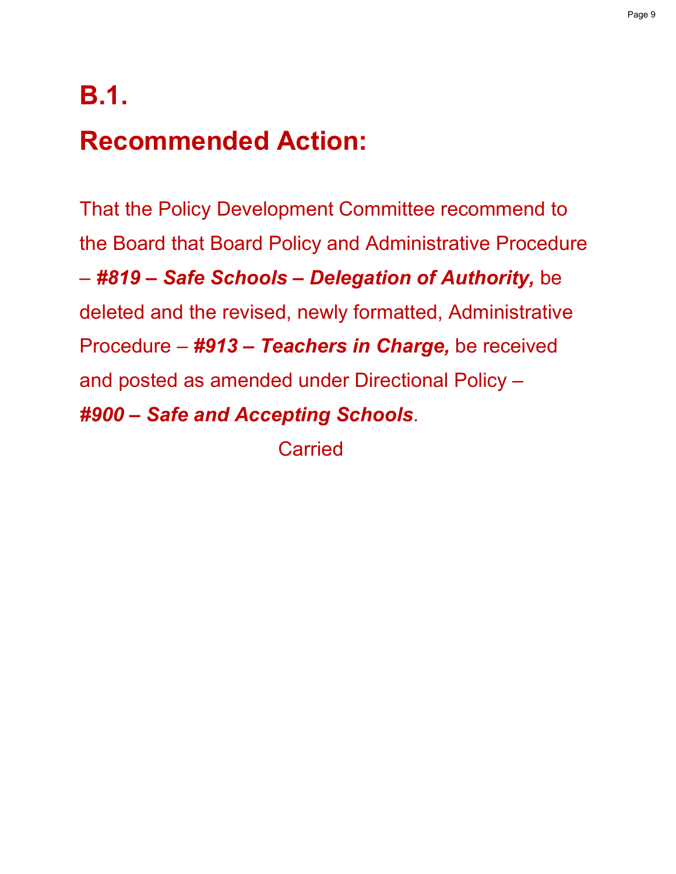# **B.1.**

# **Recommended Action:**

That the Policy Development Committee recommend to the Board that Board Policy and Administrative Procedure – *#819 – Safe Schools – Delegation of Authority,* be deleted and the revised, newly formatted, Administrative Procedure – *#913 – Teachers in Charge,* be received and posted as amended under Directional Policy – *#900 – Safe and Accepting Schools*.

Carried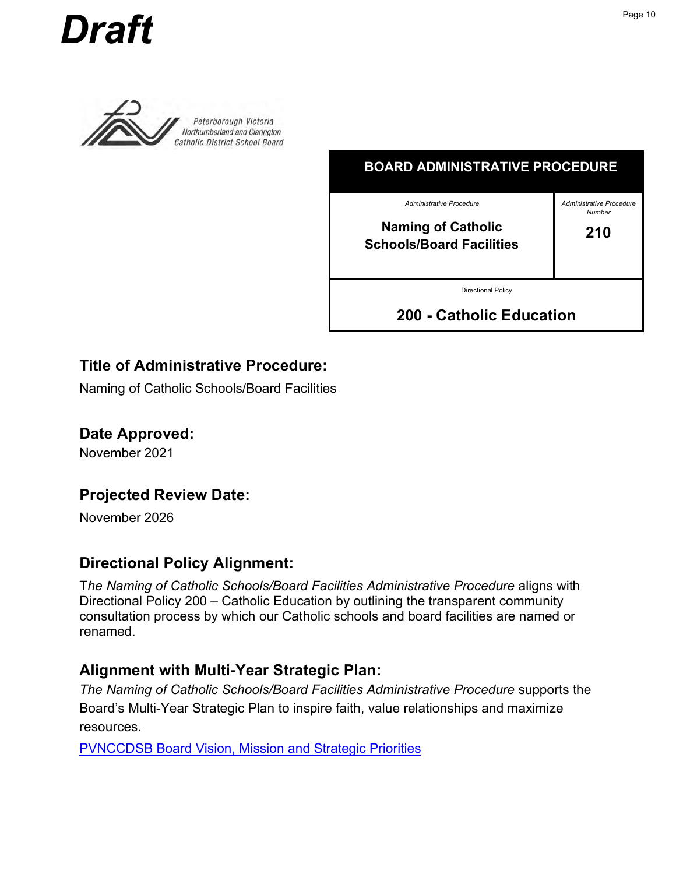<span id="page-9-0"></span>



Peterborough Victoria Northumberland and Clarington Catholic District School Board

| <b>BOARD ADMINISTRATIVE PROCEDURE</b>                        |                                    |  |  |  |
|--------------------------------------------------------------|------------------------------------|--|--|--|
| <b>Administrative Procedure</b>                              | Administrative Procedure<br>Number |  |  |  |
| <b>Naming of Catholic</b><br><b>Schools/Board Facilities</b> | 210                                |  |  |  |
| <b>Directional Policy</b>                                    |                                    |  |  |  |
| 200 - Catholic Education                                     |                                    |  |  |  |

## **Title of Administrative Procedure:**

Naming of Catholic Schools/Board Facilities

**Date Approved:**

November 2021

## **Projected Review Date:**

November 2026

## **Directional Policy Alignment:**

T*he Naming of Catholic Schools/Board Facilities Administrative Procedure* aligns with Directional Policy 200 – Catholic Education by outlining the transparent community consultation process by which our Catholic schools and board facilities are named or renamed.

## **Alignment with Multi-Year Strategic Plan:**

*The Naming of Catholic Schools/Board Facilities Administrative Procedure* supports the Board's Multi-Year Strategic Plan to inspire faith, value relationships and maximize resources.

PVNCCDSB Board Vision, Mission and Strategic Priorities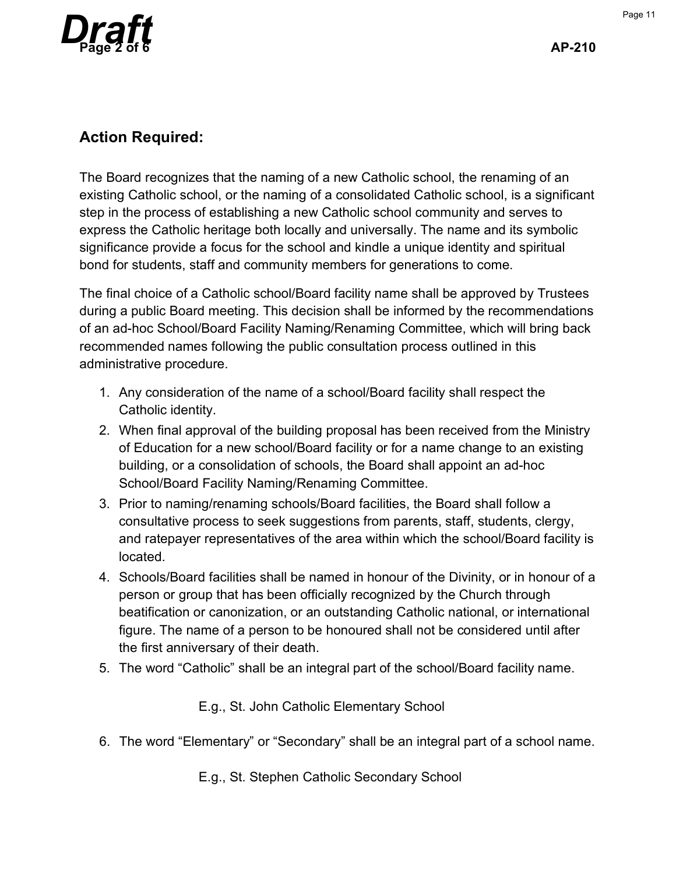

## **Action Required:**

The Board recognizes that the naming of a new Catholic school, the renaming of an existing Catholic school, or the naming of a consolidated Catholic school, is a significant step in the process of establishing a new Catholic school community and serves to express the Catholic heritage both locally and universally. The name and its symbolic significance provide a focus for the school and kindle a unique identity and spiritual bond for students, staff and community members for generations to come.

The final choice of a Catholic school/Board facility name shall be approved by Trustees during a public Board meeting. This decision shall be informed by the recommendations of an ad-hoc School/Board Facility Naming/Renaming Committee, which will bring back recommended names following the public consultation process outlined in this administrative procedure.

- 1. Any consideration of the name of a school/Board facility shall respect the Catholic identity.
- 2. When final approval of the building proposal has been received from the Ministry of Education for a new school/Board facility or for a name change to an existing building, or a consolidation of schools, the Board shall appoint an ad-hoc School/Board Facility Naming/Renaming Committee.
- 3. Prior to naming/renaming schools/Board facilities, the Board shall follow a consultative process to seek suggestions from parents, staff, students, clergy, and ratepayer representatives of the area within which the school/Board facility is located.
- 4. Schools/Board facilities shall be named in honour of the Divinity, or in honour of a person or group that has been officially recognized by the Church through beatification or canonization, or an outstanding Catholic national, or international figure. The name of a person to be honoured shall not be considered until after the first anniversary of their death.
- 5. The word "Catholic" shall be an integral part of the school/Board facility name.

E.g., St. John Catholic Elementary School

6. The word "Elementary" or "Secondary" shall be an integral part of a school name.

E.g., St. Stephen Catholic Secondary School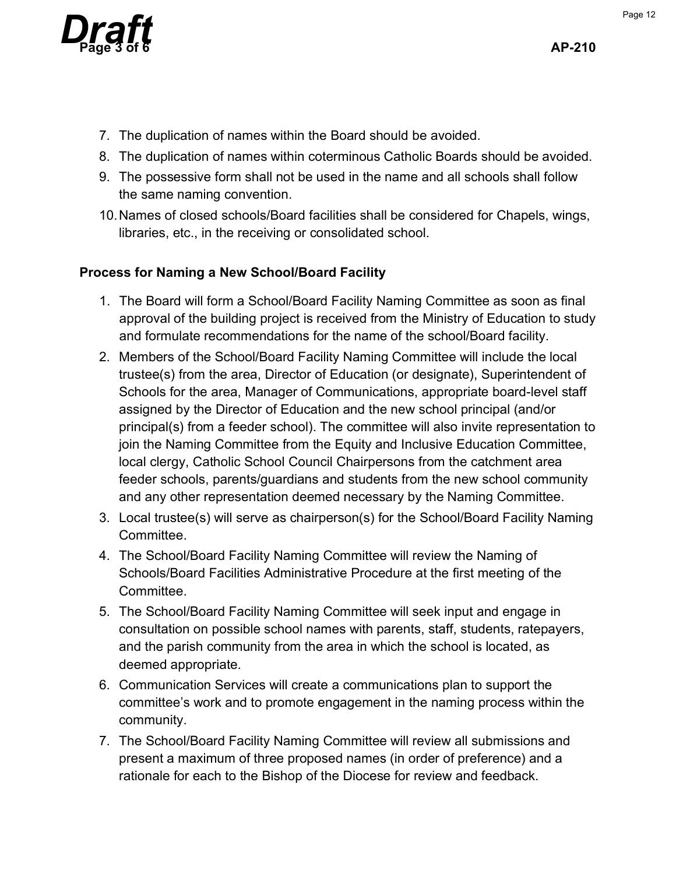

- 7. The duplication of names within the Board should be avoided.
- 8. The duplication of names within coterminous Catholic Boards should be avoided.
- 9. The possessive form shall not be used in the name and all schools shall follow the same naming convention.
- 10. Names of closed schools/Board facilities shall be considered for Chapels, wings, libraries, etc., in the receiving or consolidated school.

## **Process for Naming a New School/Board Facility**

- 1. The Board will form a School/Board Facility Naming Committee as soon as final approval of the building project is received from the Ministry of Education to study and formulate recommendations for the name of the school/Board facility.
- 2. Members of the School/Board Facility Naming Committee will include the local trustee(s) from the area, Director of Education (or designate), Superintendent of Schools for the area, Manager of Communications, appropriate board-level staff assigned by the Director of Education and the new school principal (and/or principal(s) from a feeder school). The committee will also invite representation to join the Naming Committee from the Equity and Inclusive Education Committee, local clergy, Catholic School Council Chairpersons from the catchment area feeder schools, parents/guardians and students from the new school community and any other representation deemed necessary by the Naming Committee.
- 3. Local trustee(s) will serve as chairperson(s) for the School/Board Facility Naming Committee.
- 4. The School/Board Facility Naming Committee will review the Naming of Schools/Board Facilities Administrative Procedure at the first meeting of the Committee.
- 5. The School/Board Facility Naming Committee will seek input and engage in consultation on possible school names with parents, staff, students, ratepayers, and the parish community from the area in which the school is located, as deemed appropriate.
- 6. Communication Services will create a communications plan to support the committee's work and to promote engagement in the naming process within the community.
- 7. The School/Board Facility Naming Committee will review all submissions and present a maximum of three proposed names (in order of preference) and a rationale for each to the Bishop of the Diocese for review and feedback.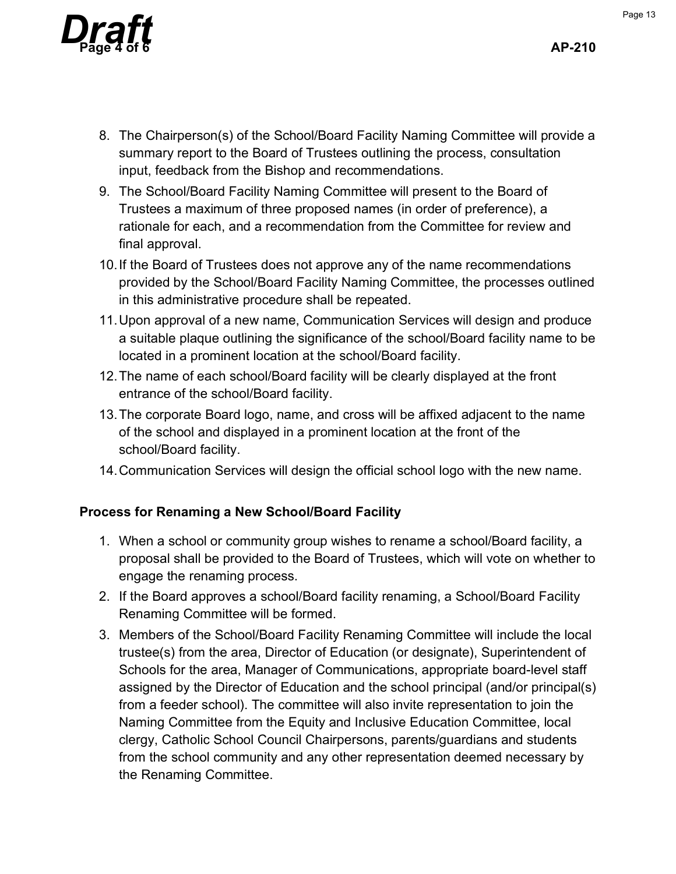

- 8. The Chairperson(s) of the School/Board Facility Naming Committee will provide a summary report to the Board of Trustees outlining the process, consultation input, feedback from the Bishop and recommendations.
- 9. The School/Board Facility Naming Committee will present to the Board of Trustees a maximum of three proposed names (in order of preference), a rationale for each, and a recommendation from the Committee for review and final approval.
- 10. If the Board of Trustees does not approve any of the name recommendations provided by the School/Board Facility Naming Committee, the processes outlined in this administrative procedure shall be repeated.
- 11. Upon approval of a new name, Communication Services will design and produce a suitable plaque outlining the significance of the school/Board facility name to be located in a prominent location at the school/Board facility.
- 12. The name of each school/Board facility will be clearly displayed at the front entrance of the school/Board facility.
- 13. The corporate Board logo, name, and cross will be affixed adjacent to the name of the school and displayed in a prominent location at the front of the school/Board facility.
- 14. Communication Services will design the official school logo with the new name.

#### **Process for Renaming a New School/Board Facility**

- 1. When a school or community group wishes to rename a school/Board facility, a proposal shall be provided to the Board of Trustees, which will vote on whether to engage the renaming process.
- 2. If the Board approves a school/Board facility renaming, a School/Board Facility Renaming Committee will be formed.
- 3. Members of the School/Board Facility Renaming Committee will include the local trustee(s) from the area, Director of Education (or designate), Superintendent of Schools for the area, Manager of Communications, appropriate board-level staff assigned by the Director of Education and the school principal (and/or principal(s) from a feeder school). The committee will also invite representation to join the Naming Committee from the Equity and Inclusive Education Committee, local clergy, Catholic School Council Chairpersons, parents/guardians and students from the school community and any other representation deemed necessary by the Renaming Committee.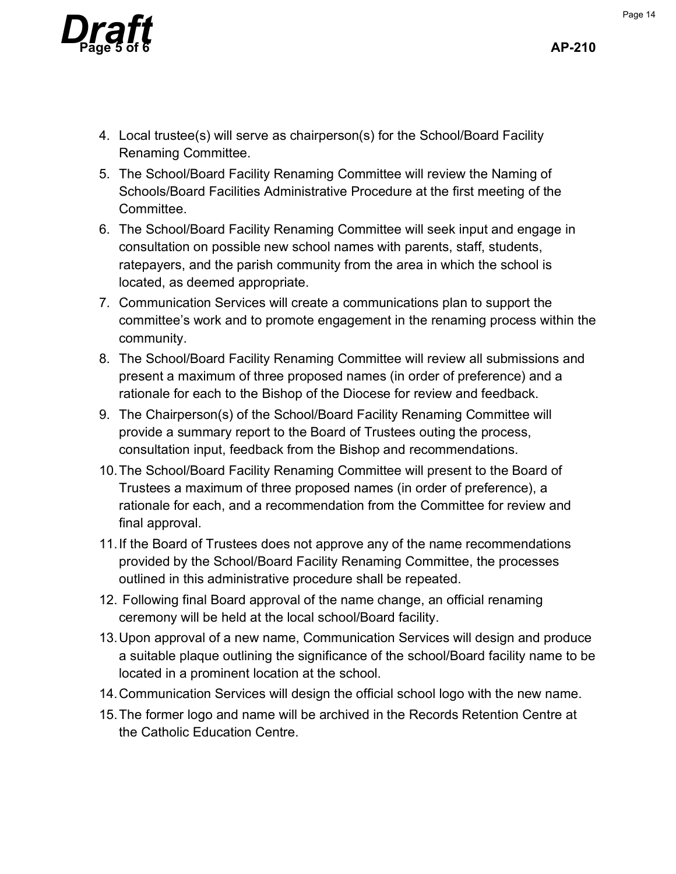

- 4. Local trustee(s) will serve as chairperson(s) for the School/Board Facility Renaming Committee.
- 5. The School/Board Facility Renaming Committee will review the Naming of Schools/Board Facilities Administrative Procedure at the first meeting of the Committee.
- 6. The School/Board Facility Renaming Committee will seek input and engage in consultation on possible new school names with parents, staff, students, ratepayers, and the parish community from the area in which the school is located, as deemed appropriate.
- 7. Communication Services will create a communications plan to support the committee's work and to promote engagement in the renaming process within the community.
- 8. The School/Board Facility Renaming Committee will review all submissions and present a maximum of three proposed names (in order of preference) and a rationale for each to the Bishop of the Diocese for review and feedback.
- 9. The Chairperson(s) of the School/Board Facility Renaming Committee will provide a summary report to the Board of Trustees outing the process, consultation input, feedback from the Bishop and recommendations.
- 10. The School/Board Facility Renaming Committee will present to the Board of Trustees a maximum of three proposed names (in order of preference), a rationale for each, and a recommendation from the Committee for review and final approval.
- 11. If the Board of Trustees does not approve any of the name recommendations provided by the School/Board Facility Renaming Committee, the processes outlined in this administrative procedure shall be repeated.
- 12. Following final Board approval of the name change, an official renaming ceremony will be held at the local school/Board facility.
- 13. Upon approval of a new name, Communication Services will design and produce a suitable plaque outlining the significance of the school/Board facility name to be located in a prominent location at the school.
- 14. Communication Services will design the official school logo with the new name.
- 15. The former logo and name will be archived in the Records Retention Centre at the Catholic Education Centre.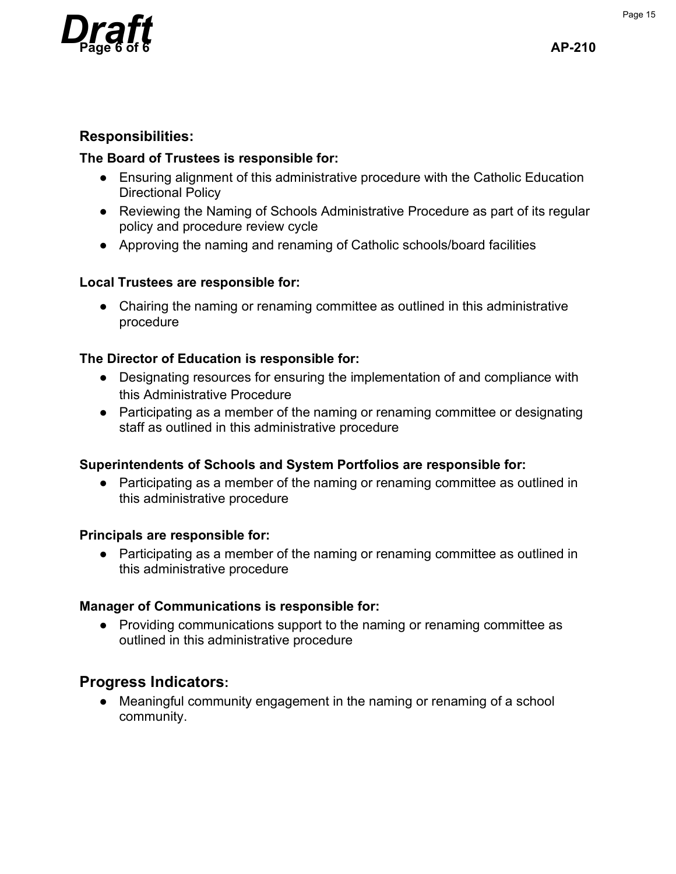

#### **Responsibilities:**

#### **The Board of Trustees is responsible for:**

- Ensuring alignment of this administrative procedure with the Catholic Education Directional Policy
- Reviewing the Naming of Schools Administrative Procedure as part of its regular policy and procedure review cycle
- Approving the naming and renaming of Catholic schools/board facilities

#### **Local Trustees are responsible for:**

● Chairing the naming or renaming committee as outlined in this administrative procedure

#### **The Director of Education is responsible for:**

- Designating resources for ensuring the implementation of and compliance with this Administrative Procedure
- Participating as a member of the naming or renaming committee or designating staff as outlined in this administrative procedure

#### **Superintendents of Schools and System Portfolios are responsible for:**

• Participating as a member of the naming or renaming committee as outlined in this administrative procedure

#### **Principals are responsible for:**

• Participating as a member of the naming or renaming committee as outlined in this administrative procedure

#### **Manager of Communications is responsible for:**

● Providing communications support to the naming or renaming committee as outlined in this administrative procedure

## **Progress Indicators:**

• Meaningful community engagement in the naming or renaming of a school community.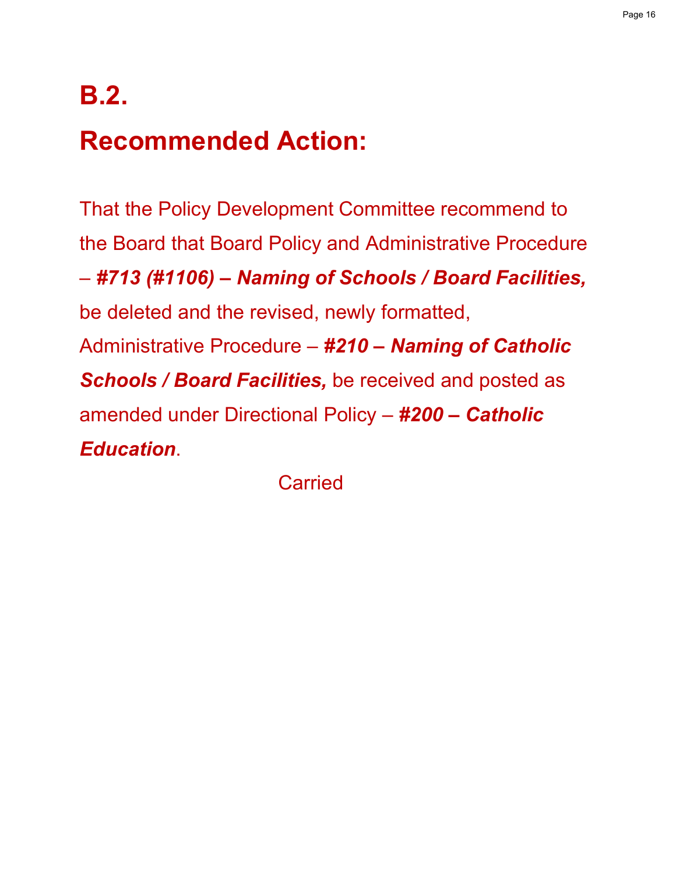# **B.2.**

# **Recommended Action:**

That the Policy Development Committee recommend to the Board that Board Policy and Administrative Procedure – *#713 (#1106) – Naming of Schools / Board Facilities,* be deleted and the revised, newly formatted, Administrative Procedure – *#210 – Naming of Catholic Schools / Board Facilities,* be received and posted as amended under Directional Policy – *#200 – Catholic Education*.

**Carried**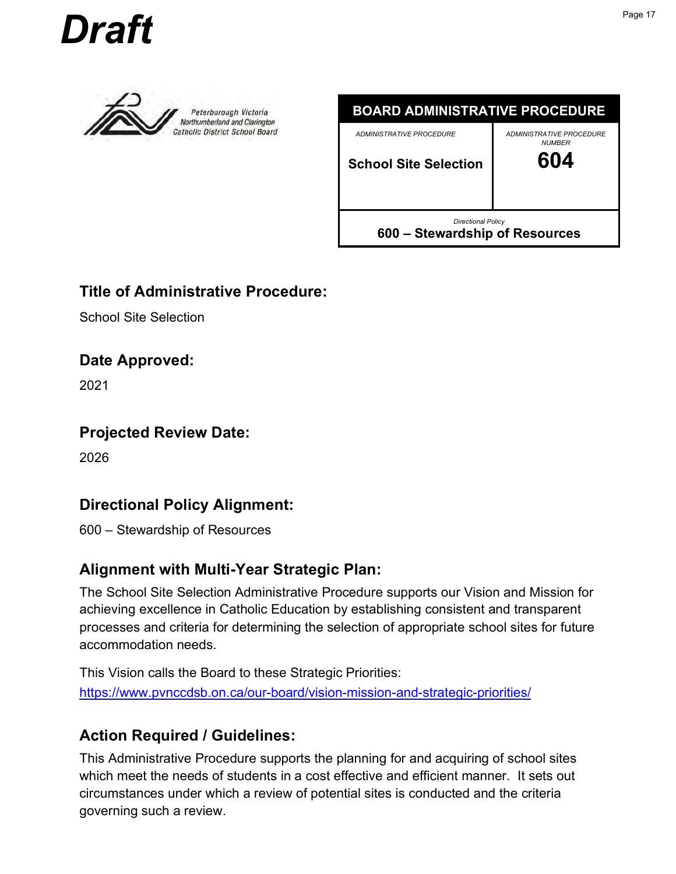<span id="page-16-0"></span>



Peterborough Victoria Northumberland and Clarington **Catholic District School Board** 



## **Title of Administrative Procedure:**

School Site Selection

## **Date Approved:**

2021

## **Projected Review Date:**

2026

## **Directional Policy Alignment:**

600 – Stewardship of Resources

## **Alignment with Multi-Year Strategic Plan:**

The School Site Selection Administrative Procedure supports our Vision and Mission for achieving excellence in Catholic Education by establishing consistent and transparent processes and criteria for determining the selection of appropriate school sites for future accommodation needs.

This Vision calls the Board to these Strategic Priorities: https://www.pvnccdsb.on.ca/our-board/vision-mission-and-strategic-priorities/

## **Action Required / Guidelines:**

This Administrative Procedure supports the planning for and acquiring of school sites which meet the needs of students in a cost effective and efficient manner. It sets out circumstances under which a review of potential sites is conducted and the criteria governing such a review.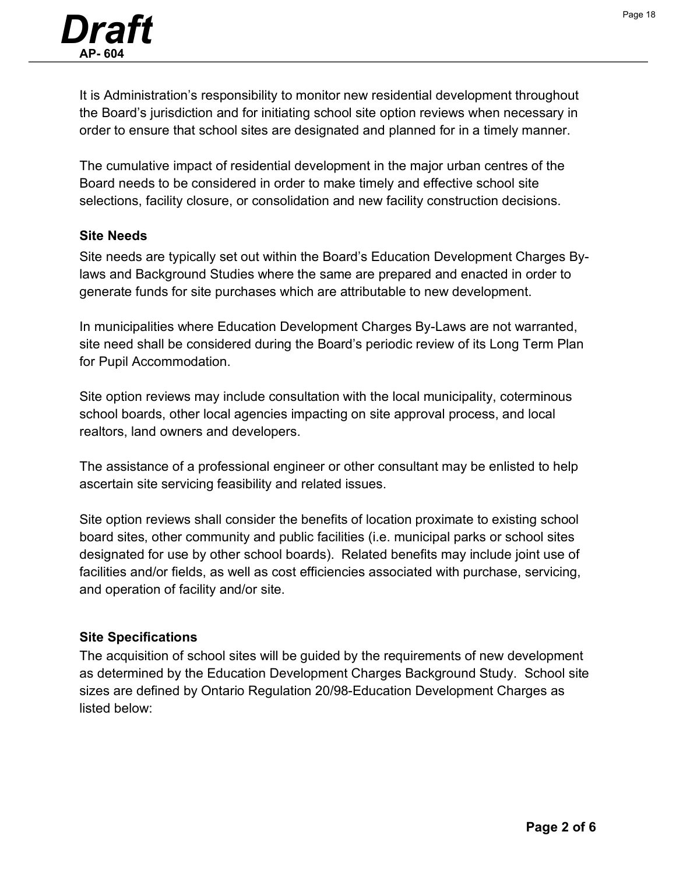It is Administration's responsibility to monitor new residential development throughout the Board's jurisdiction and for initiating school site option reviews when necessary in order to ensure that school sites are designated and planned for in a timely manner.

The cumulative impact of residential development in the major urban centres of the Board needs to be considered in order to make timely and effective school site selections, facility closure, or consolidation and new facility construction decisions.

#### **Site Needs**

Site needs are typically set out within the Board's Education Development Charges Bylaws and Background Studies where the same are prepared and enacted in order to generate funds for site purchases which are attributable to new development.

In municipalities where Education Development Charges By-Laws are not warranted, site need shall be considered during the Board's periodic review of its Long Term Plan for Pupil Accommodation.

Site option reviews may include consultation with the local municipality, coterminous school boards, other local agencies impacting on site approval process, and local realtors, land owners and developers.

The assistance of a professional engineer or other consultant may be enlisted to help ascertain site servicing feasibility and related issues.

Site option reviews shall consider the benefits of location proximate to existing school board sites, other community and public facilities (i.e. municipal parks or school sites designated for use by other school boards). Related benefits may include joint use of facilities and/or fields, as well as cost efficiencies associated with purchase, servicing, and operation of facility and/or site.

## **Site Specifications**

The acquisition of school sites will be guided by the requirements of new development as determined by the Education Development Charges Background Study. School site sizes are defined by Ontario Regulation 20/98-Education Development Charges as listed below: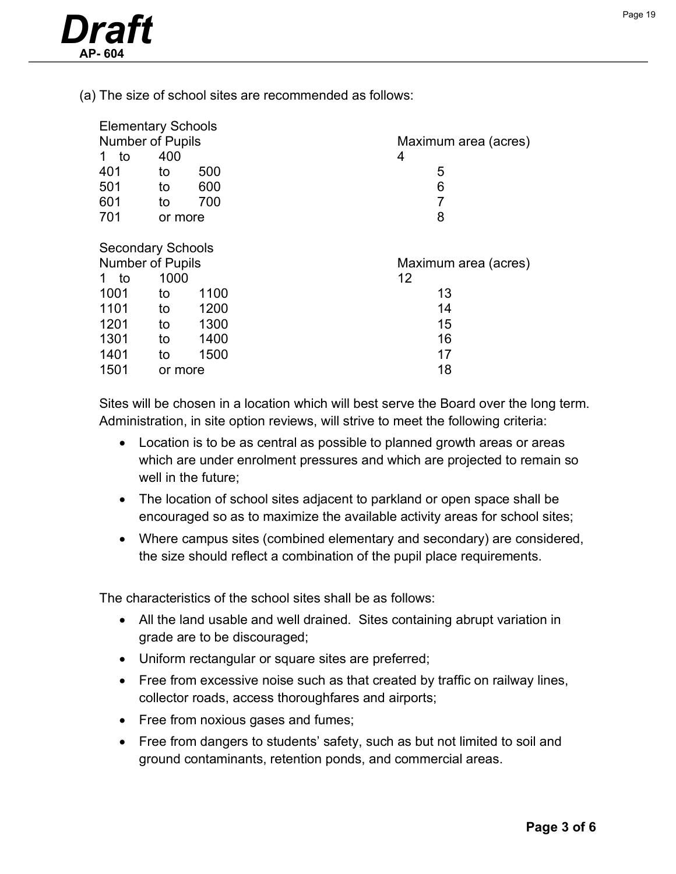

(a) The size of school sites are recommended as follows:

| <b>Elementary Schools</b> |         |      |                      |
|---------------------------|---------|------|----------------------|
| <b>Number of Pupils</b>   |         |      | Maximum area (acres) |
| to<br>1                   | 400     |      | 4                    |
| 401                       | to      | 500  | 5                    |
| 501                       | to      | 600  | 6                    |
| 601                       | to      | 700  | 7                    |
| 701                       | or more |      | 8                    |
|                           |         |      |                      |
| <b>Secondary Schools</b>  |         |      |                      |
| <b>Number of Pupils</b>   |         |      |                      |
|                           |         |      | Maximum area (acres) |
| to                        | 1000    |      | 12                   |
| 1001                      | to      | 1100 | 13                   |
| 1101                      | to      | 1200 | 14                   |
| 1201                      | to      | 1300 | 15                   |
| 1301                      | to      | 1400 | 16                   |
| 1401                      | to      | 1500 | 17                   |

Sites will be chosen in a location which will best serve the Board over the long term. Administration, in site option reviews, will strive to meet the following criteria:

- Location is to be as central as possible to planned growth areas or areas which are under enrolment pressures and which are projected to remain so well in the future;
- The location of school sites adjacent to parkland or open space shall be encouraged so as to maximize the available activity areas for school sites;
- Where campus sites (combined elementary and secondary) are considered, the size should reflect a combination of the pupil place requirements.

The characteristics of the school sites shall be as follows:

- All the land usable and well drained. Sites containing abrupt variation in grade are to be discouraged;
- Uniform rectangular or square sites are preferred;
- Free from excessive noise such as that created by traffic on railway lines, collector roads, access thoroughfares and airports;
- Free from noxious gases and fumes;
- Free from dangers to students' safety, such as but not limited to soil and ground contaminants, retention ponds, and commercial areas.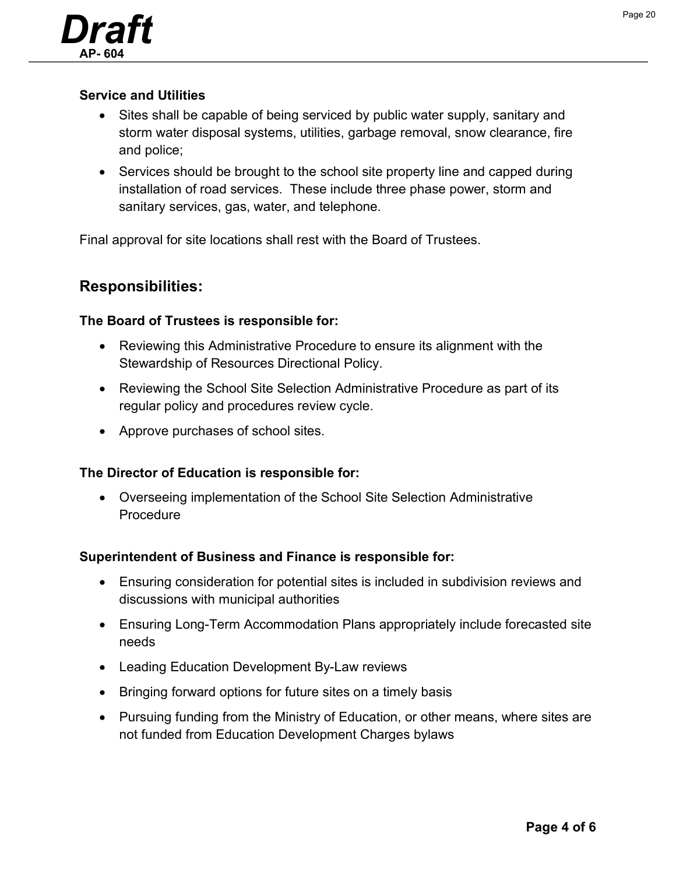

#### **Service and Utilities**

- Sites shall be capable of being serviced by public water supply, sanitary and storm water disposal systems, utilities, garbage removal, snow clearance, fire and police;
- Services should be brought to the school site property line and capped during installation of road services. These include three phase power, storm and sanitary services, gas, water, and telephone.

Final approval for site locations shall rest with the Board of Trustees.

## **Responsibilities:**

#### **The Board of Trustees is responsible for:**

- Reviewing this Administrative Procedure to ensure its alignment with the Stewardship of Resources Directional Policy.
- Reviewing the School Site Selection Administrative Procedure as part of its regular policy and procedures review cycle.
- Approve purchases of school sites.

#### **The Director of Education is responsible for:**

• Overseeing implementation of the School Site Selection Administrative Procedure

#### **Superintendent of Business and Finance is responsible for:**

- Ensuring consideration for potential sites is included in subdivision reviews and discussions with municipal authorities
- Ensuring Long-Term Accommodation Plans appropriately include forecasted site needs
- Leading Education Development By-Law reviews
- Bringing forward options for future sites on a timely basis
- Pursuing funding from the Ministry of Education, or other means, where sites are not funded from Education Development Charges bylaws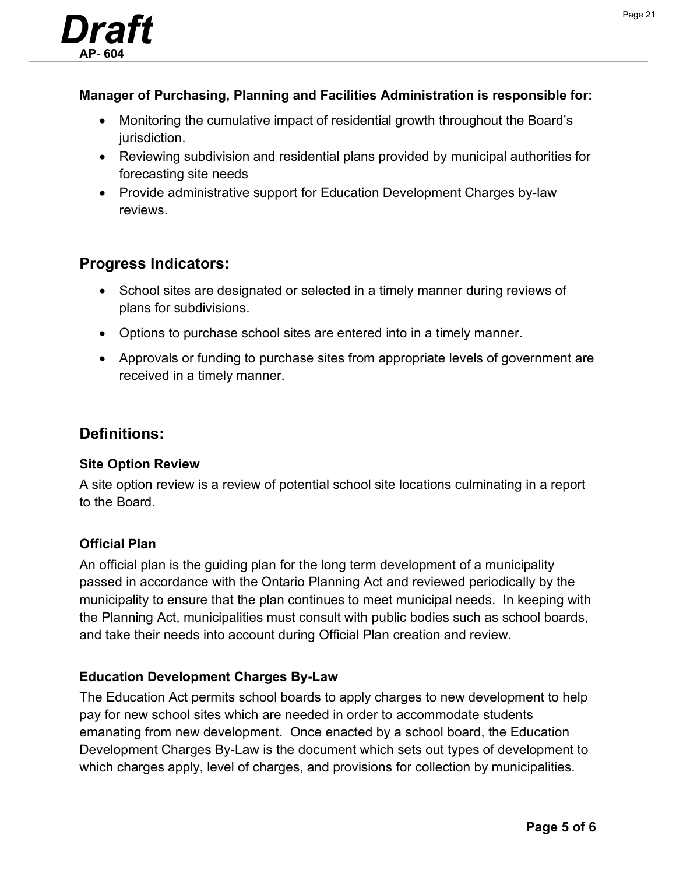

### **Manager of Purchasing, Planning and Facilities Administration is responsible for:**

- Monitoring the cumulative impact of residential growth throughout the Board's jurisdiction.
- Reviewing subdivision and residential plans provided by municipal authorities for forecasting site needs
- Provide administrative support for Education Development Charges by-law reviews.

## **Progress Indicators:**

- School sites are designated or selected in a timely manner during reviews of plans for subdivisions.
- Options to purchase school sites are entered into in a timely manner.
- Approvals or funding to purchase sites from appropriate levels of government are received in a timely manner.

## **Definitions:**

#### **Site Option Review**

A site option review is a review of potential school site locations culminating in a report to the Board.

#### **Official Plan**

An official plan is the guiding plan for the long term development of a municipality passed in accordance with the Ontario Planning Act and reviewed periodically by the municipality to ensure that the plan continues to meet municipal needs. In keeping with the Planning Act, municipalities must consult with public bodies such as school boards, and take their needs into account during Official Plan creation and review.

#### **Education Development Charges By-Law**

The Education Act permits school boards to apply charges to new development to help pay for new school sites which are needed in order to accommodate students emanating from new development. Once enacted by a school board, the Education Development Charges By-Law is the document which sets out types of development to which charges apply, level of charges, and provisions for collection by municipalities.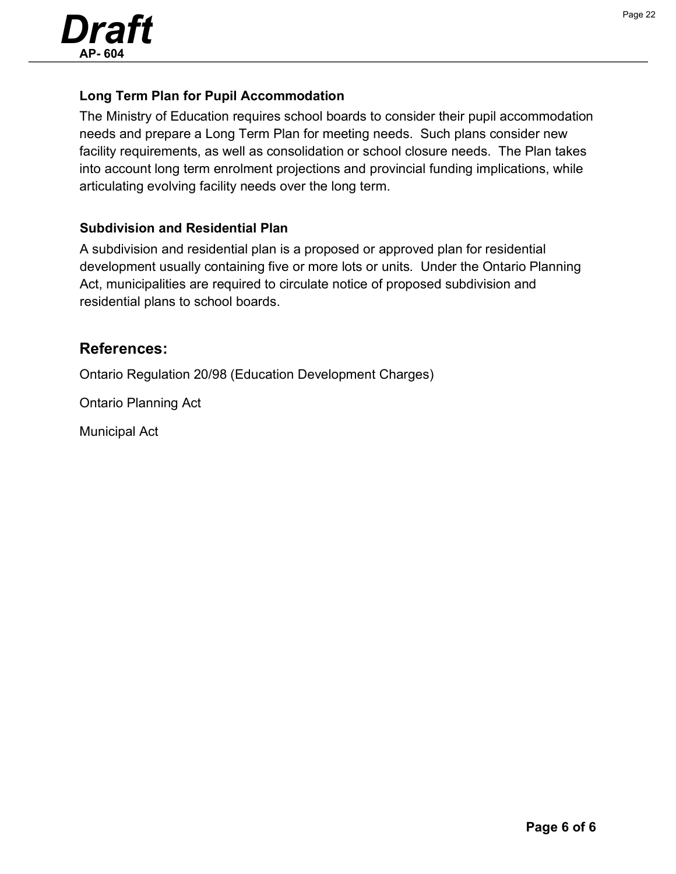

#### **Long Term Plan for Pupil Accommodation**

The Ministry of Education requires school boards to consider their pupil accommodation needs and prepare a Long Term Plan for meeting needs. Such plans consider new facility requirements, as well as consolidation or school closure needs. The Plan takes into account long term enrolment projections and provincial funding implications, while articulating evolving facility needs over the long term.

#### **Subdivision and Residential Plan**

A subdivision and residential plan is a proposed or approved plan for residential development usually containing five or more lots or units. Under the Ontario Planning Act, municipalities are required to circulate notice of proposed subdivision and residential plans to school boards.

## **References:**

Ontario Regulation 20/98 (Education Development Charges)

Ontario Planning Act

Municipal Act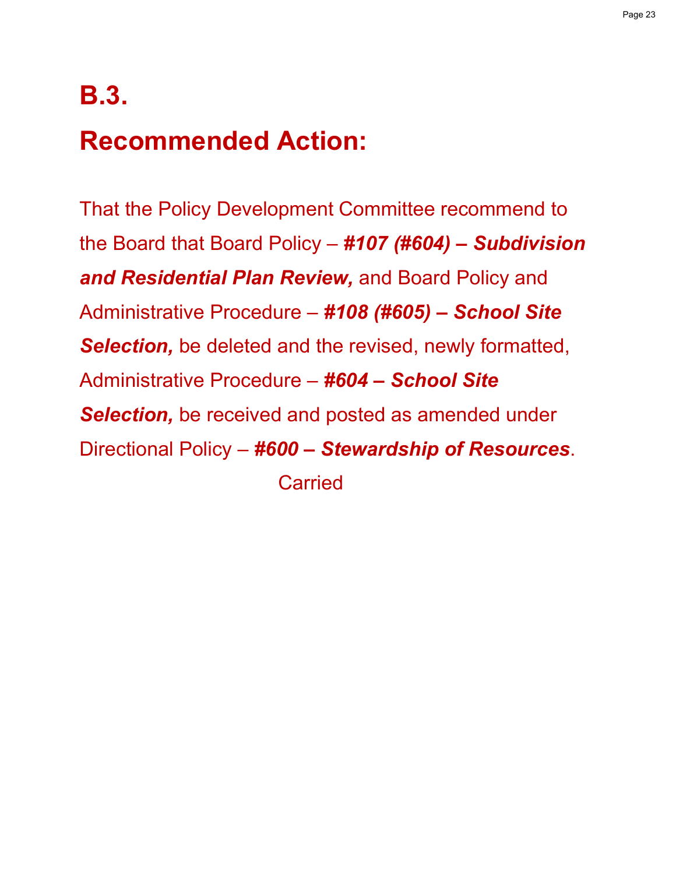## **B.3.**

# **Recommended Action:**

That the Policy Development Committee recommend to the Board that Board Policy – *#107 (#604) – Subdivision and Residential Plan Review,* and Board Policy and Administrative Procedure – *#108 (#605) – School Site Selection,* be deleted and the revised, newly formatted, Administrative Procedure – *#604 – School Site Selection,* be received and posted as amended under Directional Policy – *#600 – Stewardship of Resources*. **Carried**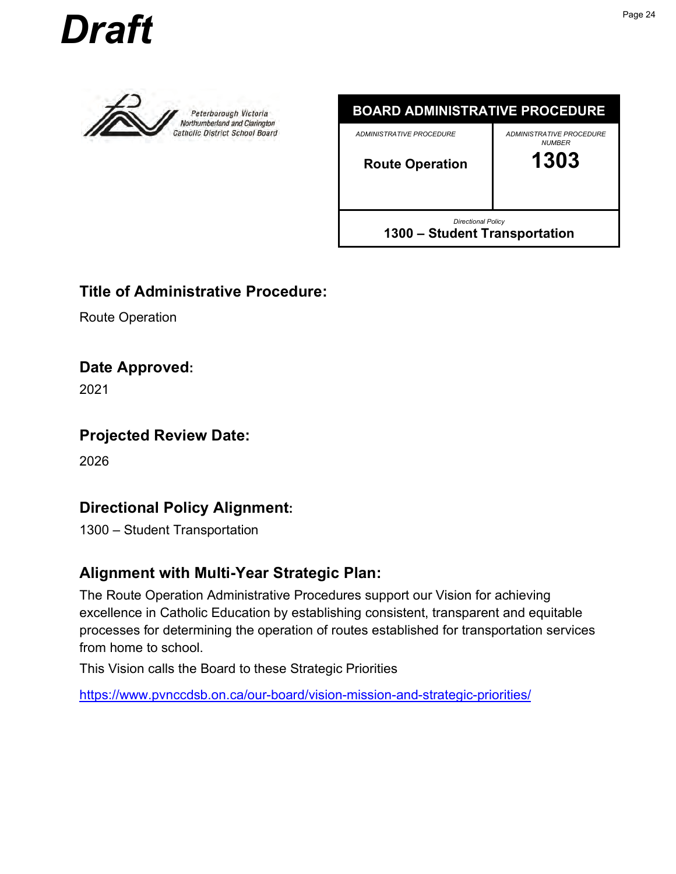<span id="page-23-0"></span>





## **Title of Administrative Procedure:**

Route Operation

## **Date Approved:**

2021

## **Projected Review Date:**

2026

## **Directional Policy Alignment:**

1300 – Student Transportation

## **Alignment with Multi-Year Strategic Plan:**

The Route Operation Administrative Procedures support our Vision for achieving excellence in Catholic Education by establishing consistent, transparent and equitable processes for determining the operation of routes established for transportation services from home to school.

This Vision calls the Board to these Strategic Priorities

https://www.pvnccdsb.on.ca/our-board/vision-mission-and-strategic-priorities/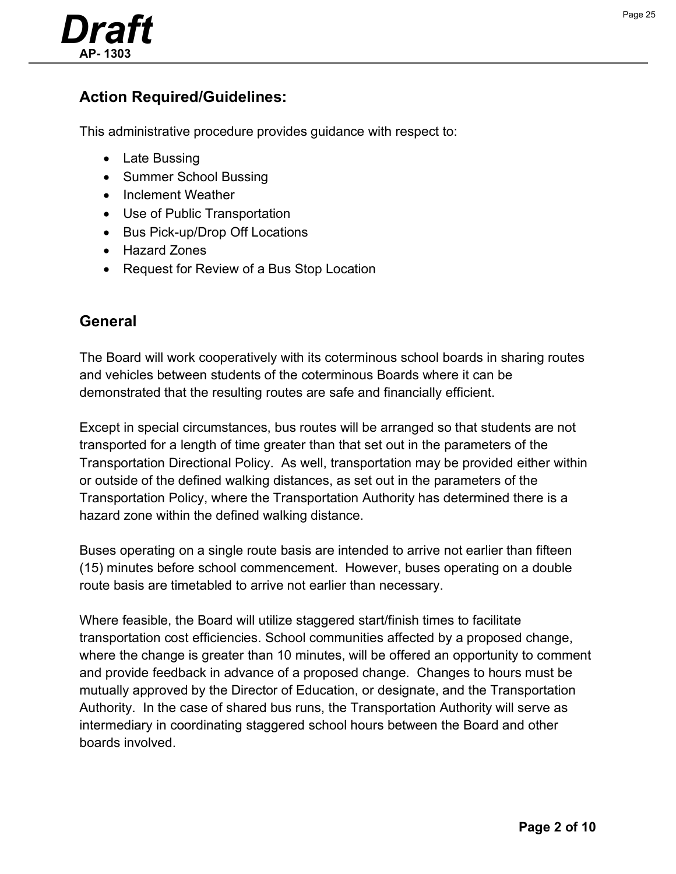

## **Action Required/Guidelines:**

This administrative procedure provides guidance with respect to:

- Late Bussing
- Summer School Bussing
- Inclement Weather
- Use of Public Transportation
- Bus Pick-up/Drop Off Locations
- Hazard Zones
- Request for Review of a Bus Stop Location

## **General**

The Board will work cooperatively with its coterminous school boards in sharing routes and vehicles between students of the coterminous Boards where it can be demonstrated that the resulting routes are safe and financially efficient.

Except in special circumstances, bus routes will be arranged so that students are not transported for a length of time greater than that set out in the parameters of the Transportation Directional Policy. As well, transportation may be provided either within or outside of the defined walking distances, as set out in the parameters of the Transportation Policy, where the Transportation Authority has determined there is a hazard zone within the defined walking distance.

Buses operating on a single route basis are intended to arrive not earlier than fifteen (15) minutes before school commencement. However, buses operating on a double route basis are timetabled to arrive not earlier than necessary.

Where feasible, the Board will utilize staggered start/finish times to facilitate transportation cost efficiencies. School communities affected by a proposed change, where the change is greater than 10 minutes, will be offered an opportunity to comment and provide feedback in advance of a proposed change. Changes to hours must be mutually approved by the Director of Education, or designate, and the Transportation Authority. In the case of shared bus runs, the Transportation Authority will serve as intermediary in coordinating staggered school hours between the Board and other boards involved.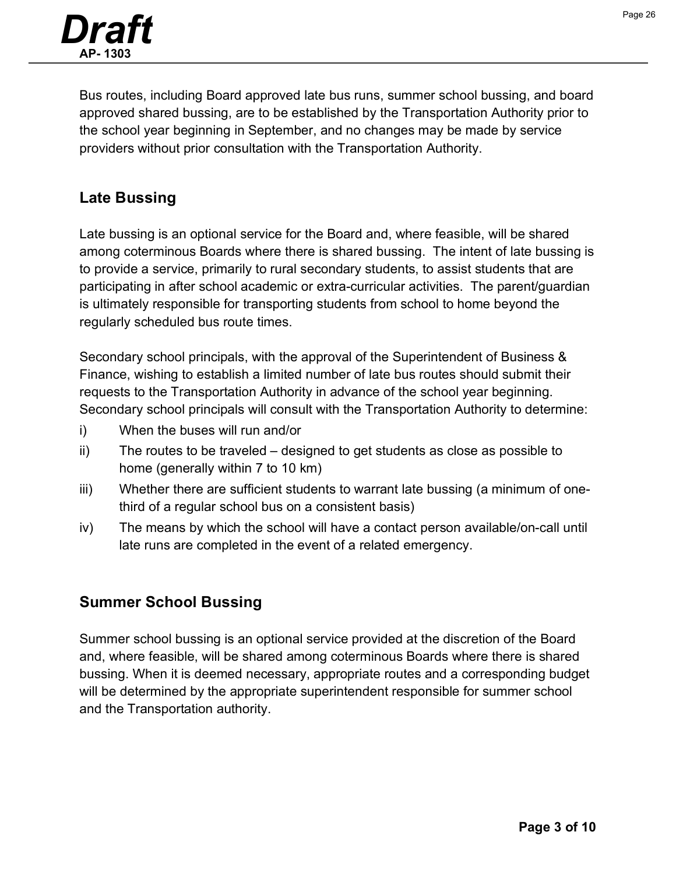

Bus routes, including Board approved late bus runs, summer school bussing, and board approved shared bussing, are to be established by the Transportation Authority prior to the school year beginning in September, and no changes may be made by service providers without prior consultation with the Transportation Authority.

## **Late Bussing**

Late bussing is an optional service for the Board and, where feasible, will be shared among coterminous Boards where there is shared bussing. The intent of late bussing is to provide a service, primarily to rural secondary students, to assist students that are participating in after school academic or extra-curricular activities. The parent/guardian is ultimately responsible for transporting students from school to home beyond the regularly scheduled bus route times.

Secondary school principals, with the approval of the Superintendent of Business & Finance, wishing to establish a limited number of late bus routes should submit their requests to the Transportation Authority in advance of the school year beginning. Secondary school principals will consult with the Transportation Authority to determine:

- i) When the buses will run and/or
- ii) The routes to be traveled designed to get students as close as possible to home (generally within 7 to 10 km)
- iii) Whether there are sufficient students to warrant late bussing (a minimum of onethird of a regular school bus on a consistent basis)
- iv) The means by which the school will have a contact person available/on-call until late runs are completed in the event of a related emergency.

## **Summer School Bussing**

Summer school bussing is an optional service provided at the discretion of the Board and, where feasible, will be shared among coterminous Boards where there is shared bussing. When it is deemed necessary, appropriate routes and a corresponding budget will be determined by the appropriate superintendent responsible for summer school and the Transportation authority.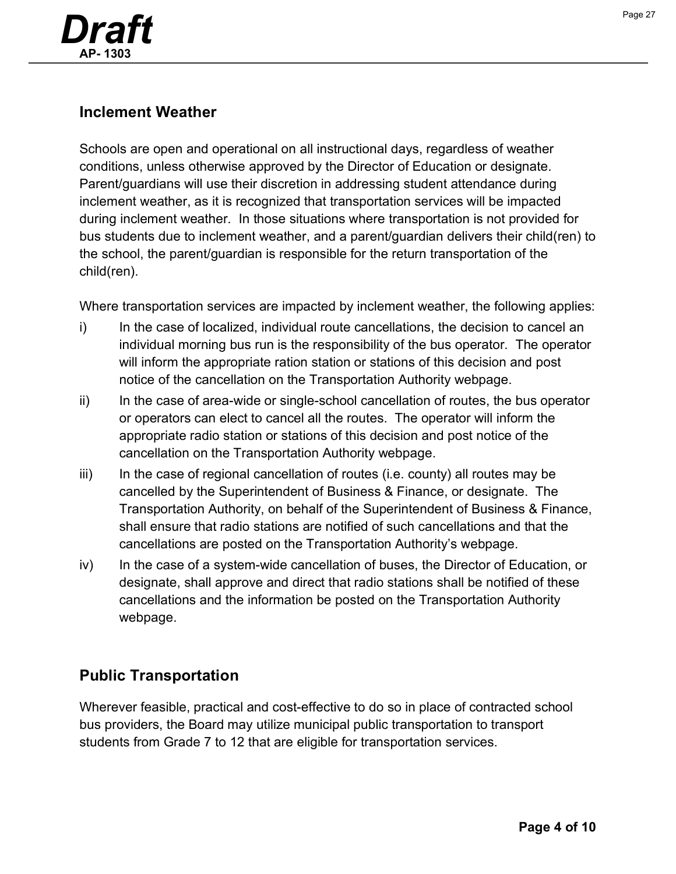![](_page_26_Picture_0.jpeg)

## **Inclement Weather**

Schools are open and operational on all instructional days, regardless of weather conditions, unless otherwise approved by the Director of Education or designate. Parent/guardians will use their discretion in addressing student attendance during inclement weather, as it is recognized that transportation services will be impacted during inclement weather. In those situations where transportation is not provided for bus students due to inclement weather, and a parent/guardian delivers their child(ren) to the school, the parent/guardian is responsible for the return transportation of the child(ren).

Where transportation services are impacted by inclement weather, the following applies:

- i) In the case of localized, individual route cancellations, the decision to cancel an individual morning bus run is the responsibility of the bus operator. The operator will inform the appropriate ration station or stations of this decision and post notice of the cancellation on the Transportation Authority webpage.
- ii) In the case of area-wide or single-school cancellation of routes, the bus operator or operators can elect to cancel all the routes. The operator will inform the appropriate radio station or stations of this decision and post notice of the cancellation on the Transportation Authority webpage.
- $iii)$  In the case of regional cancellation of routes (i.e. county) all routes may be cancelled by the Superintendent of Business & Finance, or designate. The Transportation Authority, on behalf of the Superintendent of Business & Finance, shall ensure that radio stations are notified of such cancellations and that the cancellations are posted on the Transportation Authority's webpage.
- iv) In the case of a system-wide cancellation of buses, the Director of Education, or designate, shall approve and direct that radio stations shall be notified of these cancellations and the information be posted on the Transportation Authority webpage.

## **Public Transportation**

Wherever feasible, practical and cost-effective to do so in place of contracted school bus providers, the Board may utilize municipal public transportation to transport students from Grade 7 to 12 that are eligible for transportation services.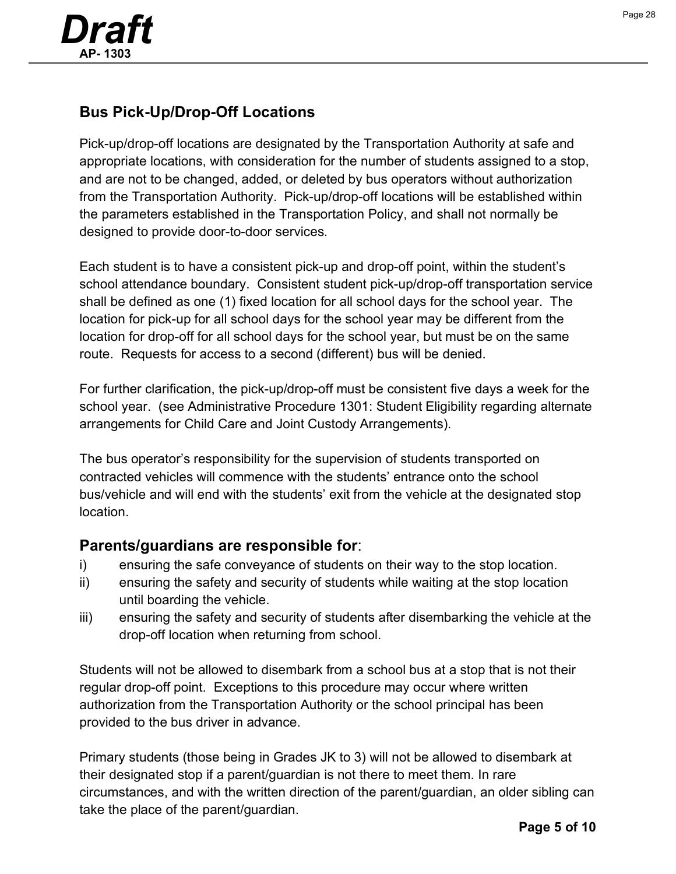![](_page_27_Picture_0.jpeg)

## **Bus Pick-Up/Drop-Off Locations**

Pick-up/drop-off locations are designated by the Transportation Authority at safe and appropriate locations, with consideration for the number of students assigned to a stop, and are not to be changed, added, or deleted by bus operators without authorization from the Transportation Authority. Pick-up/drop-off locations will be established within the parameters established in the Transportation Policy, and shall not normally be designed to provide door-to-door services.

Each student is to have a consistent pick-up and drop-off point, within the student's school attendance boundary. Consistent student pick-up/drop-off transportation service shall be defined as one (1) fixed location for all school days for the school year. The location for pick-up for all school days for the school year may be different from the location for drop-off for all school days for the school year, but must be on the same route. Requests for access to a second (different) bus will be denied.

For further clarification, the pick-up/drop-off must be consistent five days a week for the school year. (see Administrative Procedure 1301: Student Eligibility regarding alternate arrangements for Child Care and Joint Custody Arrangements).

The bus operator's responsibility for the supervision of students transported on contracted vehicles will commence with the students' entrance onto the school bus/vehicle and will end with the students' exit from the vehicle at the designated stop location.

## **Parents/guardians are responsible for**:

- i) ensuring the safe conveyance of students on their way to the stop location.
- ii) ensuring the safety and security of students while waiting at the stop location until boarding the vehicle.
- iii) ensuring the safety and security of students after disembarking the vehicle at the drop-off location when returning from school.

Students will not be allowed to disembark from a school bus at a stop that is not their regular drop-off point. Exceptions to this procedure may occur where written authorization from the Transportation Authority or the school principal has been provided to the bus driver in advance.

Primary students (those being in Grades JK to 3) will not be allowed to disembark at their designated stop if a parent/guardian is not there to meet them. In rare circumstances, and with the written direction of the parent/guardian, an older sibling can take the place of the parent/guardian.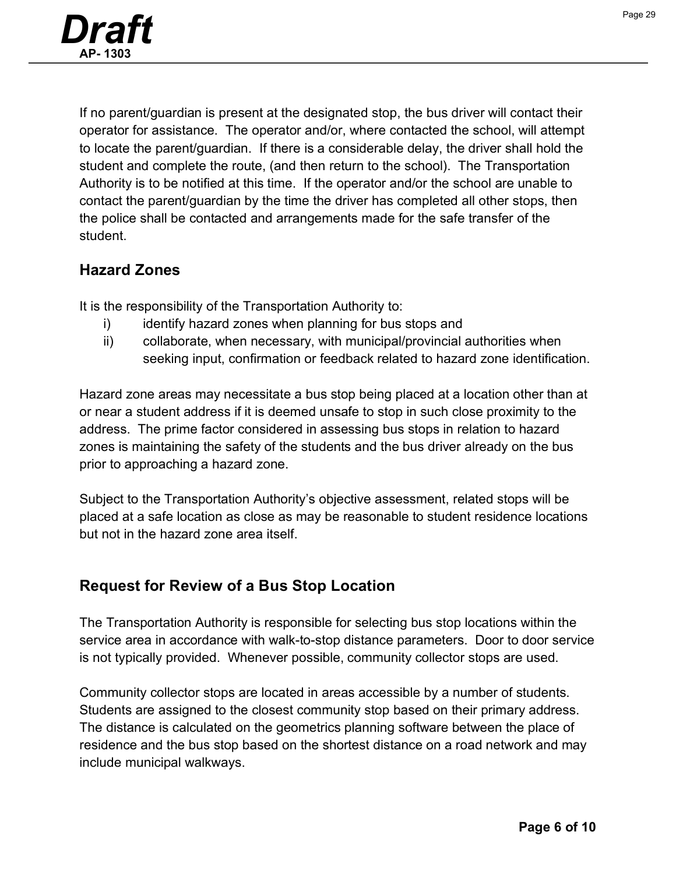![](_page_28_Picture_0.jpeg)

If no parent/guardian is present at the designated stop, the bus driver will contact their operator for assistance. The operator and/or, where contacted the school, will attempt to locate the parent/guardian. If there is a considerable delay, the driver shall hold the student and complete the route, (and then return to the school). The Transportation Authority is to be notified at this time. If the operator and/or the school are unable to contact the parent/guardian by the time the driver has completed all other stops, then the police shall be contacted and arrangements made for the safe transfer of the student.

## **Hazard Zones**

It is the responsibility of the Transportation Authority to:

- i) identify hazard zones when planning for bus stops and
- ii) collaborate, when necessary, with municipal/provincial authorities when seeking input, confirmation or feedback related to hazard zone identification.

Hazard zone areas may necessitate a bus stop being placed at a location other than at or near a student address if it is deemed unsafe to stop in such close proximity to the address. The prime factor considered in assessing bus stops in relation to hazard zones is maintaining the safety of the students and the bus driver already on the bus prior to approaching a hazard zone.

Subject to the Transportation Authority's objective assessment, related stops will be placed at a safe location as close as may be reasonable to student residence locations but not in the hazard zone area itself.

## **Request for Review of a Bus Stop Location**

The Transportation Authority is responsible for selecting bus stop locations within the service area in accordance with walk-to-stop distance parameters. Door to door service is not typically provided. Whenever possible, community collector stops are used.

Community collector stops are located in areas accessible by a number of students. Students are assigned to the closest community stop based on their primary address. The distance is calculated on the geometrics planning software between the place of residence and the bus stop based on the shortest distance on a road network and may include municipal walkways.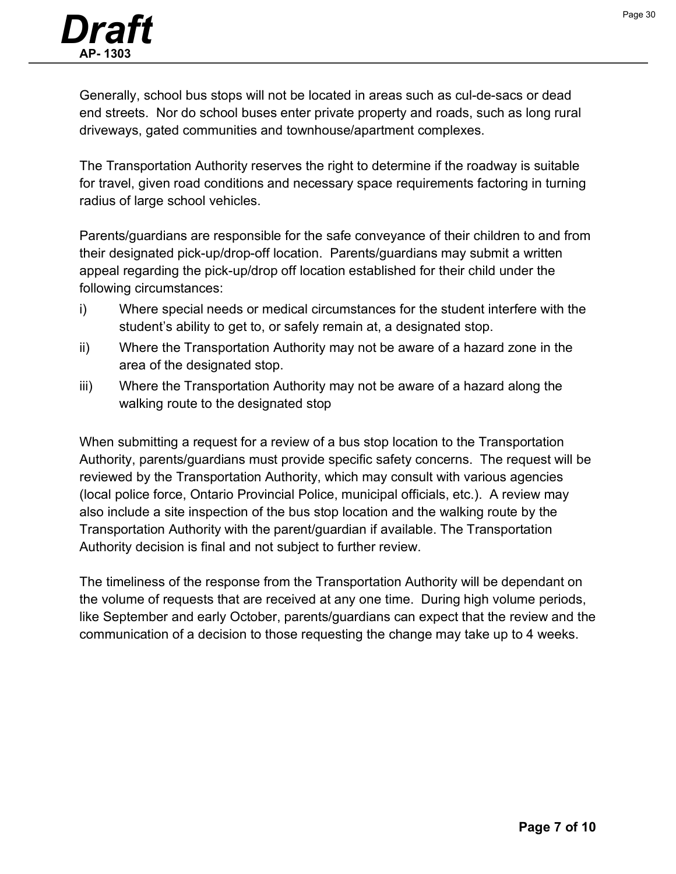![](_page_29_Picture_1.jpeg)

Generally, school bus stops will not be located in areas such as cul-de-sacs or dead end streets. Nor do school buses enter private property and roads, such as long rural driveways, gated communities and townhouse/apartment complexes.

The Transportation Authority reserves the right to determine if the roadway is suitable for travel, given road conditions and necessary space requirements factoring in turning radius of large school vehicles.

Parents/guardians are responsible for the safe conveyance of their children to and from their designated pick-up/drop-off location. Parents/guardians may submit a written appeal regarding the pick-up/drop off location established for their child under the following circumstances:

- i) Where special needs or medical circumstances for the student interfere with the student's ability to get to, or safely remain at, a designated stop.
- ii) Where the Transportation Authority may not be aware of a hazard zone in the area of the designated stop.
- iii) Where the Transportation Authority may not be aware of a hazard along the walking route to the designated stop

When submitting a request for a review of a bus stop location to the Transportation Authority, parents/guardians must provide specific safety concerns. The request will be reviewed by the Transportation Authority, which may consult with various agencies (local police force, Ontario Provincial Police, municipal officials, etc.). A review may also include a site inspection of the bus stop location and the walking route by the Transportation Authority with the parent/guardian if available. The Transportation Authority decision is final and not subject to further review.

The timeliness of the response from the Transportation Authority will be dependant on the volume of requests that are received at any one time. During high volume periods, like September and early October, parents/guardians can expect that the review and the communication of a decision to those requesting the change may take up to 4 weeks.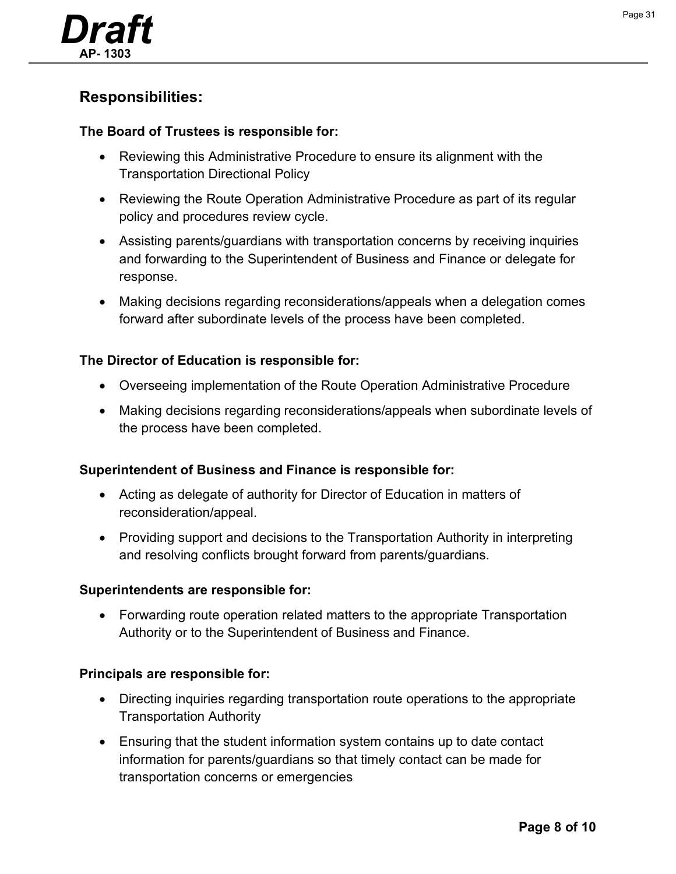![](_page_30_Picture_0.jpeg)

## **Responsibilities:**

#### **The Board of Trustees is responsible for:**

- Reviewing this Administrative Procedure to ensure its alignment with the Transportation Directional Policy
- Reviewing the Route Operation Administrative Procedure as part of its regular policy and procedures review cycle.
- Assisting parents/guardians with transportation concerns by receiving inquiries and forwarding to the Superintendent of Business and Finance or delegate for response.
- Making decisions regarding reconsiderations/appeals when a delegation comes forward after subordinate levels of the process have been completed.

#### **The Director of Education is responsible for:**

- Overseeing implementation of the Route Operation Administrative Procedure
- Making decisions regarding reconsiderations/appeals when subordinate levels of the process have been completed.

#### **Superintendent of Business and Finance is responsible for:**

- Acting as delegate of authority for Director of Education in matters of reconsideration/appeal.
- Providing support and decisions to the Transportation Authority in interpreting and resolving conflicts brought forward from parents/guardians.

#### **Superintendents are responsible for:**

• Forwarding route operation related matters to the appropriate Transportation Authority or to the Superintendent of Business and Finance.

#### **Principals are responsible for:**

- Directing inquiries regarding transportation route operations to the appropriate Transportation Authority
- Ensuring that the student information system contains up to date contact information for parents/guardians so that timely contact can be made for transportation concerns or emergencies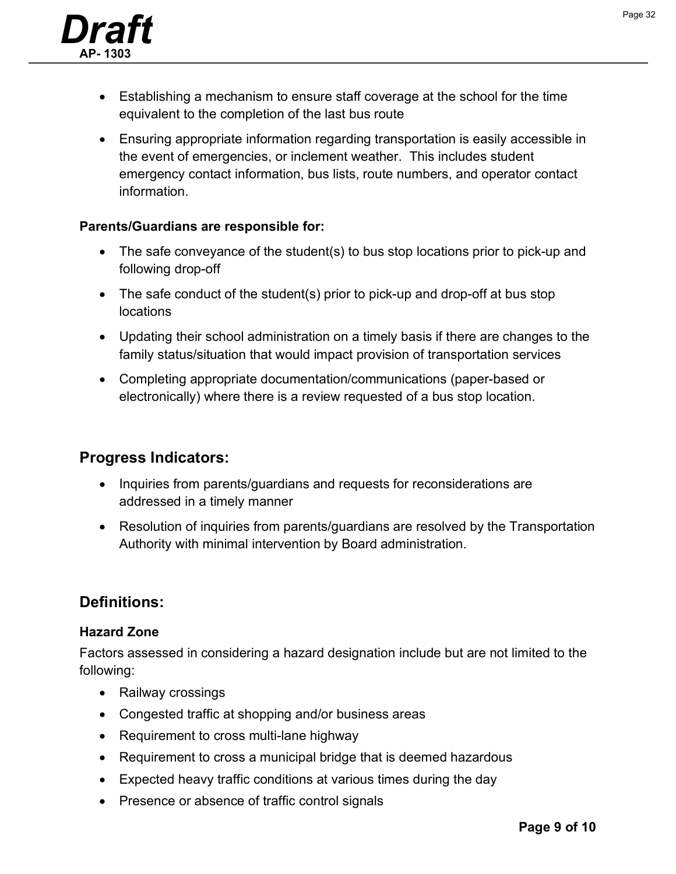![](_page_31_Picture_1.jpeg)

- Establishing a mechanism to ensure staff coverage at the school for the time equivalent to the completion of the last bus route
- Ensuring appropriate information regarding transportation is easily accessible in the event of emergencies, or inclement weather. This includes student emergency contact information, bus lists, route numbers, and operator contact information.

#### **Parents/Guardians are responsible for:**

- The safe conveyance of the student(s) to bus stop locations prior to pick-up and following drop-off
- The safe conduct of the student(s) prior to pick-up and drop-off at bus stop locations
- Updating their school administration on a timely basis if there are changes to the family status/situation that would impact provision of transportation services
- Completing appropriate documentation/communications (paper-based or electronically) where there is a review requested of a bus stop location.

## **Progress Indicators:**

- Inquiries from parents/guardians and requests for reconsiderations are addressed in a timely manner
- Resolution of inquiries from parents/guardians are resolved by the Transportation Authority with minimal intervention by Board administration.

## **Definitions:**

#### **Hazard Zone**

Factors assessed in considering a hazard designation include but are not limited to the following:

- Railway crossings
- Congested traffic at shopping and/or business areas
- Requirement to cross multi-lane highway
- Requirement to cross a municipal bridge that is deemed hazardous
- Expected heavy traffic conditions at various times during the day
- Presence or absence of traffic control signals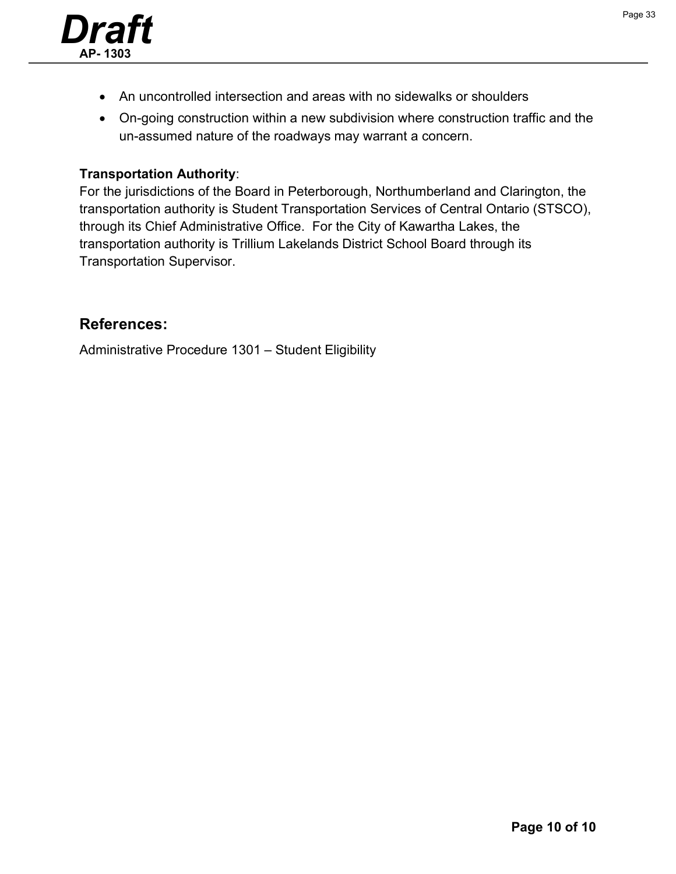![](_page_32_Picture_0.jpeg)

- An uncontrolled intersection and areas with no sidewalks or shoulders
- On-going construction within a new subdivision where construction traffic and the un-assumed nature of the roadways may warrant a concern.

#### **Transportation Authority**:

For the jurisdictions of the Board in Peterborough, Northumberland and Clarington, the transportation authority is Student Transportation Services of Central Ontario (STSCO), through its Chief Administrative Office. For the City of Kawartha Lakes, the transportation authority is Trillium Lakelands District School Board through its Transportation Supervisor.

#### **References:**

Administrative Procedure 1301 – Student Eligibility